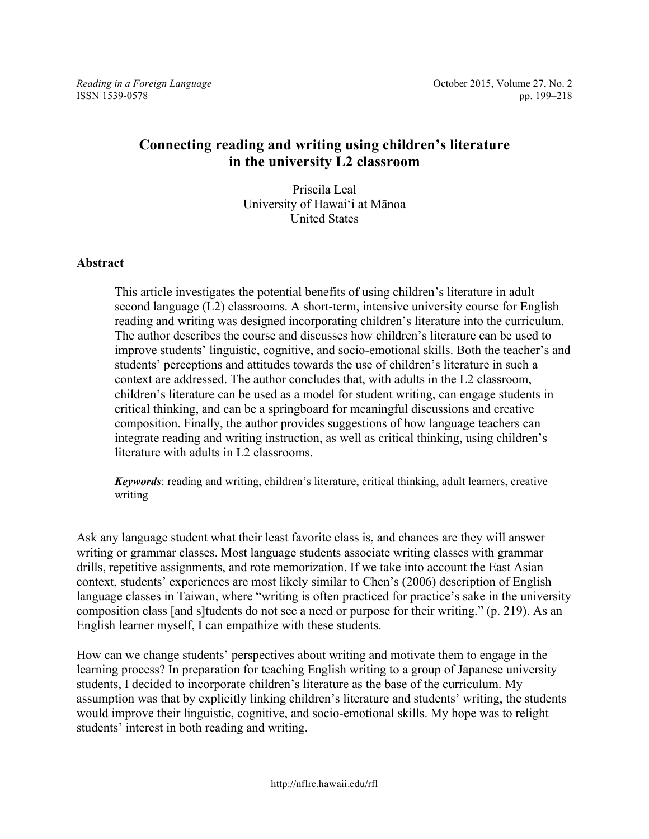*Reading in a Foreign Language Reading in a Foreign Language Cecomber 2015, Volume 27, No. 2* 

# **Connecting reading and writing using children's literature in the university L2 classroom**

Priscila Leal University of Hawai'i at Mānoa United States

# **Abstract**

This article investigates the potential benefits of using children's literature in adult second language (L2) classrooms. A short-term, intensive university course for English reading and writing was designed incorporating children's literature into the curriculum. The author describes the course and discusses how children's literature can be used to improve students' linguistic, cognitive, and socio-emotional skills. Both the teacher's and students' perceptions and attitudes towards the use of children's literature in such a context are addressed. The author concludes that, with adults in the L2 classroom, children's literature can be used as a model for student writing, can engage students in critical thinking, and can be a springboard for meaningful discussions and creative composition. Finally, the author provides suggestions of how language teachers can integrate reading and writing instruction, as well as critical thinking, using children's literature with adults in L2 classrooms.

*Keywords*: reading and writing, children's literature, critical thinking, adult learners, creative writing

Ask any language student what their least favorite class is, and chances are they will answer writing or grammar classes. Most language students associate writing classes with grammar drills, repetitive assignments, and rote memorization. If we take into account the East Asian context, students' experiences are most likely similar to Chen's (2006) description of English language classes in Taiwan, where "writing is often practiced for practice's sake in the university composition class [and s]tudents do not see a need or purpose for their writing." (p. 219). As an English learner myself, I can empathize with these students.

How can we change students' perspectives about writing and motivate them to engage in the learning process? In preparation for teaching English writing to a group of Japanese university students, I decided to incorporate children's literature as the base of the curriculum. My assumption was that by explicitly linking children's literature and students' writing, the students would improve their linguistic, cognitive, and socio-emotional skills. My hope was to relight students' interest in both reading and writing.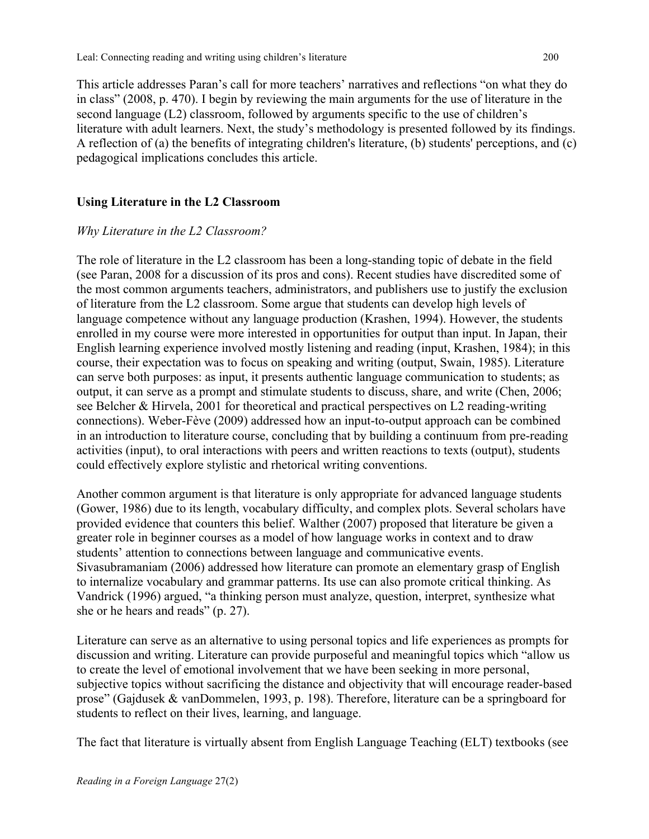This article addresses Paran's call for more teachers' narratives and reflections "on what they do in class" (2008, p. 470). I begin by reviewing the main arguments for the use of literature in the second language (L2) classroom, followed by arguments specific to the use of children's literature with adult learners. Next, the study's methodology is presented followed by its findings. A reflection of (a) the benefits of integrating children's literature, (b) students' perceptions, and (c) pedagogical implications concludes this article.

# **Using Literature in the L2 Classroom**

# *Why Literature in the L2 Classroom?*

The role of literature in the L2 classroom has been a long-standing topic of debate in the field (see Paran, 2008 for a discussion of its pros and cons). Recent studies have discredited some of the most common arguments teachers, administrators, and publishers use to justify the exclusion of literature from the L2 classroom. Some argue that students can develop high levels of language competence without any language production (Krashen, 1994). However, the students enrolled in my course were more interested in opportunities for output than input. In Japan, their English learning experience involved mostly listening and reading (input, Krashen, 1984); in this course, their expectation was to focus on speaking and writing (output, Swain, 1985). Literature can serve both purposes: as input, it presents authentic language communication to students; as output, it can serve as a prompt and stimulate students to discuss, share, and write (Chen, 2006; see Belcher & Hirvela, 2001 for theoretical and practical perspectives on L2 reading-writing connections). Weber-Fève (2009) addressed how an input-to-output approach can be combined in an introduction to literature course, concluding that by building a continuum from pre-reading activities (input), to oral interactions with peers and written reactions to texts (output), students could effectively explore stylistic and rhetorical writing conventions.

Another common argument is that literature is only appropriate for advanced language students (Gower, 1986) due to its length, vocabulary difficulty, and complex plots. Several scholars have provided evidence that counters this belief. Walther (2007) proposed that literature be given a greater role in beginner courses as a model of how language works in context and to draw students' attention to connections between language and communicative events. Sivasubramaniam (2006) addressed how literature can promote an elementary grasp of English to internalize vocabulary and grammar patterns. Its use can also promote critical thinking. As Vandrick (1996) argued, "a thinking person must analyze, question, interpret, synthesize what she or he hears and reads" (p. 27).

Literature can serve as an alternative to using personal topics and life experiences as prompts for discussion and writing. Literature can provide purposeful and meaningful topics which "allow us to create the level of emotional involvement that we have been seeking in more personal, subjective topics without sacrificing the distance and objectivity that will encourage reader-based prose" (Gajdusek & vanDommelen, 1993, p. 198). Therefore, literature can be a springboard for students to reflect on their lives, learning, and language.

The fact that literature is virtually absent from English Language Teaching (ELT) textbooks (see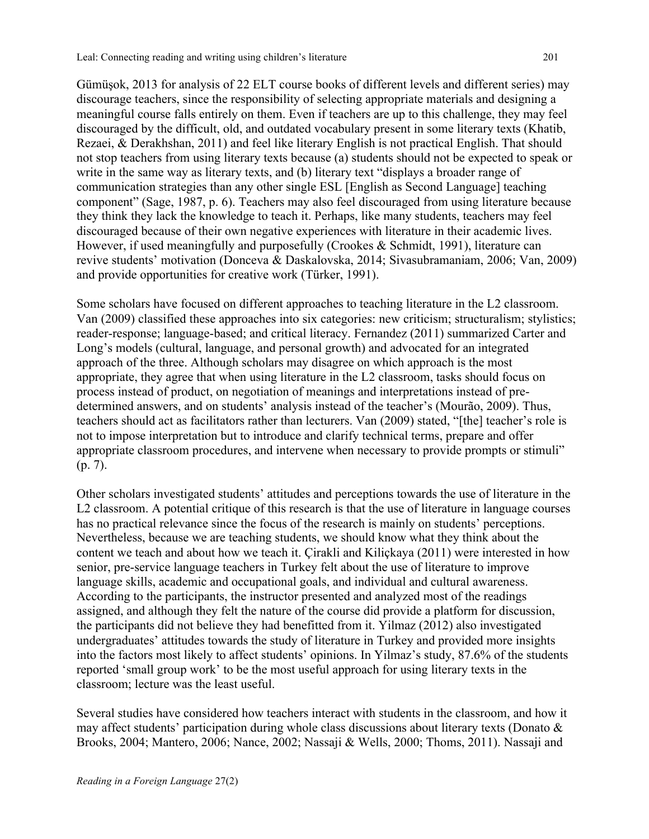Gümüşok, 2013 for analysis of 22 ELT course books of different levels and different series) may discourage teachers, since the responsibility of selecting appropriate materials and designing a meaningful course falls entirely on them. Even if teachers are up to this challenge, they may feel discouraged by the difficult, old, and outdated vocabulary present in some literary texts (Khatib, Rezaei, & Derakhshan, 2011) and feel like literary English is not practical English. That should not stop teachers from using literary texts because (a) students should not be expected to speak or write in the same way as literary texts, and (b) literary text "displays a broader range of communication strategies than any other single ESL [English as Second Language] teaching component" (Sage, 1987, p. 6). Teachers may also feel discouraged from using literature because they think they lack the knowledge to teach it. Perhaps, like many students, teachers may feel discouraged because of their own negative experiences with literature in their academic lives. However, if used meaningfully and purposefully (Crookes & Schmidt, 1991), literature can revive students' motivation (Donceva & Daskalovska, 2014; Sivasubramaniam, 2006; Van, 2009) and provide opportunities for creative work (Türker, 1991).

Some scholars have focused on different approaches to teaching literature in the L2 classroom. Van (2009) classified these approaches into six categories: new criticism; structuralism; stylistics; reader-response; language-based; and critical literacy. Fernandez (2011) summarized Carter and Long's models (cultural, language, and personal growth) and advocated for an integrated approach of the three. Although scholars may disagree on which approach is the most appropriate, they agree that when using literature in the L2 classroom, tasks should focus on process instead of product, on negotiation of meanings and interpretations instead of predetermined answers, and on students' analysis instead of the teacher's (Mourão, 2009). Thus, teachers should act as facilitators rather than lecturers. Van (2009) stated, "[the] teacher's role is not to impose interpretation but to introduce and clarify technical terms, prepare and offer appropriate classroom procedures, and intervene when necessary to provide prompts or stimuli" (p. 7).

Other scholars investigated students' attitudes and perceptions towards the use of literature in the L<sub>2</sub> classroom. A potential critique of this research is that the use of literature in language courses has no practical relevance since the focus of the research is mainly on students' perceptions. Nevertheless, because we are teaching students, we should know what they think about the content we teach and about how we teach it. Çirakli and Kiliçkaya (2011) were interested in how senior, pre-service language teachers in Turkey felt about the use of literature to improve language skills, academic and occupational goals, and individual and cultural awareness. According to the participants, the instructor presented and analyzed most of the readings assigned, and although they felt the nature of the course did provide a platform for discussion, the participants did not believe they had benefitted from it. Yilmaz (2012) also investigated undergraduates' attitudes towards the study of literature in Turkey and provided more insights into the factors most likely to affect students' opinions. In Yilmaz's study, 87.6% of the students reported 'small group work' to be the most useful approach for using literary texts in the classroom; lecture was the least useful.

Several studies have considered how teachers interact with students in the classroom, and how it may affect students' participation during whole class discussions about literary texts (Donato & Brooks, 2004; Mantero, 2006; Nance, 2002; Nassaji & Wells, 2000; Thoms, 2011). Nassaji and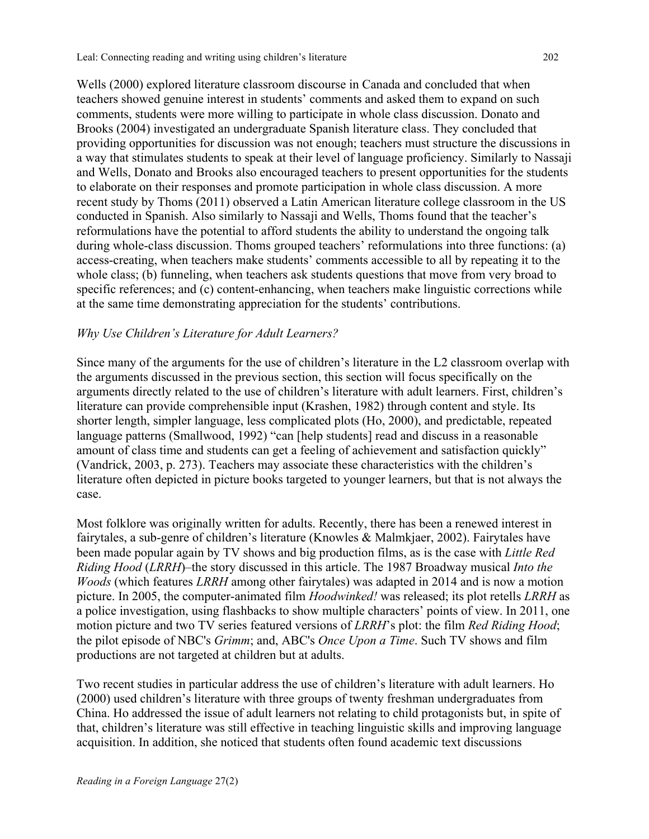Wells (2000) explored literature classroom discourse in Canada and concluded that when teachers showed genuine interest in students' comments and asked them to expand on such comments, students were more willing to participate in whole class discussion. Donato and Brooks (2004) investigated an undergraduate Spanish literature class. They concluded that providing opportunities for discussion was not enough; teachers must structure the discussions in a way that stimulates students to speak at their level of language proficiency. Similarly to Nassaji and Wells, Donato and Brooks also encouraged teachers to present opportunities for the students to elaborate on their responses and promote participation in whole class discussion. A more recent study by Thoms (2011) observed a Latin American literature college classroom in the US conducted in Spanish. Also similarly to Nassaji and Wells, Thoms found that the teacher's reformulations have the potential to afford students the ability to understand the ongoing talk during whole-class discussion. Thoms grouped teachers' reformulations into three functions: (a) access-creating, when teachers make students' comments accessible to all by repeating it to the whole class; (b) funneling, when teachers ask students questions that move from very broad to specific references; and (c) content-enhancing, when teachers make linguistic corrections while at the same time demonstrating appreciation for the students' contributions.

# *Why Use Children's Literature for Adult Learners?*

Since many of the arguments for the use of children's literature in the L2 classroom overlap with the arguments discussed in the previous section, this section will focus specifically on the arguments directly related to the use of children's literature with adult learners. First, children's literature can provide comprehensible input (Krashen, 1982) through content and style. Its shorter length, simpler language, less complicated plots (Ho, 2000), and predictable, repeated language patterns (Smallwood, 1992) "can [help students] read and discuss in a reasonable amount of class time and students can get a feeling of achievement and satisfaction quickly" (Vandrick, 2003, p. 273). Teachers may associate these characteristics with the children's literature often depicted in picture books targeted to younger learners, but that is not always the case.

Most folklore was originally written for adults. Recently, there has been a renewed interest in fairytales, a sub-genre of children's literature (Knowles & Malmkjaer, 2002). Fairytales have been made popular again by TV shows and big production films, as is the case with *Little Red Riding Hood* (*LRRH*)–the story discussed in this article. The 1987 Broadway musical *Into the Woods* (which features *LRRH* among other fairytales) was adapted in 2014 and is now a motion picture. In 2005, the computer-animated film *Hoodwinked!* was released; its plot retells *LRRH* as a police investigation, using flashbacks to show multiple characters' points of view. In 2011, one motion picture and two TV series featured versions of *LRRH*'s plot: the film *Red Riding Hood*; the pilot episode of NBC's *Grimm*; and, ABC's *Once Upon a Time*. Such TV shows and film productions are not targeted at children but at adults.

Two recent studies in particular address the use of children's literature with adult learners. Ho (2000) used children's literature with three groups of twenty freshman undergraduates from China. Ho addressed the issue of adult learners not relating to child protagonists but, in spite of that, children's literature was still effective in teaching linguistic skills and improving language acquisition. In addition, she noticed that students often found academic text discussions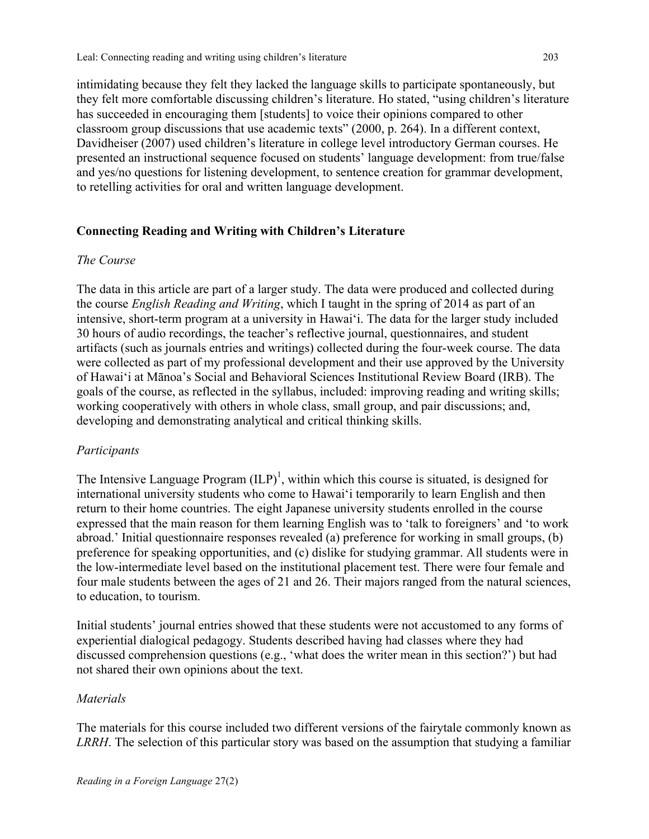intimidating because they felt they lacked the language skills to participate spontaneously, but they felt more comfortable discussing children's literature. Ho stated, "using children's literature has succeeded in encouraging them [students] to voice their opinions compared to other classroom group discussions that use academic texts" (2000, p. 264). In a different context, Davidheiser (2007) used children's literature in college level introductory German courses. He presented an instructional sequence focused on students' language development: from true/false and yes/no questions for listening development, to sentence creation for grammar development, to retelling activities for oral and written language development.

# **Connecting Reading and Writing with Children's Literature**

# *The Course*

The data in this article are part of a larger study. The data were produced and collected during the course *English Reading and Writing*, which I taught in the spring of 2014 as part of an intensive, short-term program at a university in Hawai'i. The data for the larger study included 30 hours of audio recordings, the teacher's reflective journal, questionnaires, and student artifacts (such as journals entries and writings) collected during the four-week course. The data were collected as part of my professional development and their use approved by the University of Hawai'i at Mānoa's Social and Behavioral Sciences Institutional Review Board (IRB). The goals of the course, as reflected in the syllabus, included: improving reading and writing skills; working cooperatively with others in whole class, small group, and pair discussions; and, developing and demonstrating analytical and critical thinking skills.

# *Participants*

The Intensive Language Program  $(ILP)^1$ , within which this course is situated, is designed for international university students who come to Hawai'i temporarily to learn English and then return to their home countries. The eight Japanese university students enrolled in the course expressed that the main reason for them learning English was to 'talk to foreigners' and 'to work abroad.' Initial questionnaire responses revealed (a) preference for working in small groups, (b) preference for speaking opportunities, and (c) dislike for studying grammar. All students were in the low-intermediate level based on the institutional placement test. There were four female and four male students between the ages of 21 and 26. Their majors ranged from the natural sciences, to education, to tourism.

Initial students' journal entries showed that these students were not accustomed to any forms of experiential dialogical pedagogy. Students described having had classes where they had discussed comprehension questions (e.g., 'what does the writer mean in this section?') but had not shared their own opinions about the text.

# *Materials*

The materials for this course included two different versions of the fairytale commonly known as *LRRH*. The selection of this particular story was based on the assumption that studying a familiar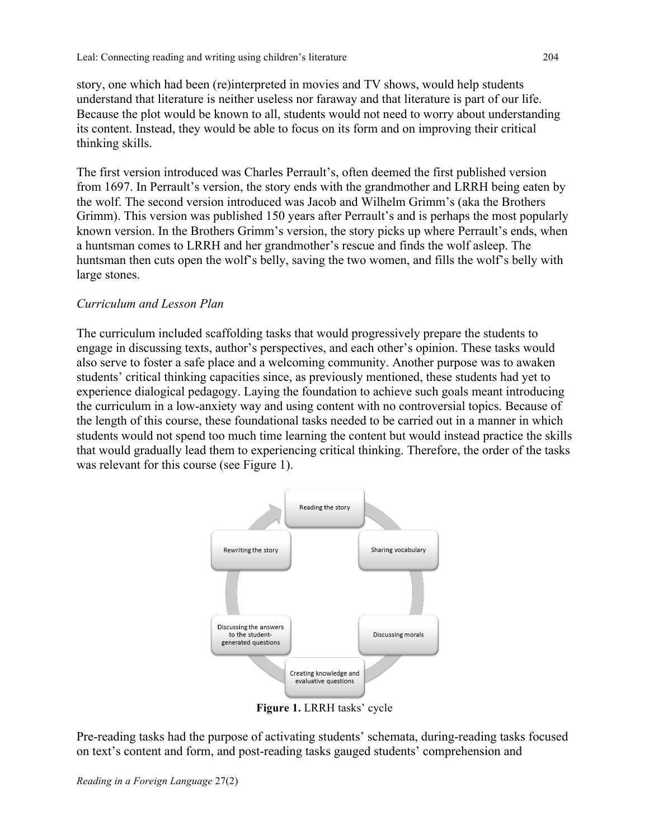story, one which had been (re)interpreted in movies and TV shows, would help students understand that literature is neither useless nor faraway and that literature is part of our life. Because the plot would be known to all, students would not need to worry about understanding its content. Instead, they would be able to focus on its form and on improving their critical thinking skills.

The first version introduced was Charles Perrault's, often deemed the first published version from 1697. In Perrault's version, the story ends with the grandmother and LRRH being eaten by the wolf. The second version introduced was Jacob and Wilhelm Grimm's (aka the Brothers Grimm). This version was published 150 years after Perrault's and is perhaps the most popularly known version. In the Brothers Grimm's version, the story picks up where Perrault's ends, when a huntsman comes to LRRH and her grandmother's rescue and finds the wolf asleep. The huntsman then cuts open the wolf's belly, saving the two women, and fills the wolf's belly with large stones.

# *Curriculum and Lesson Plan*

The curriculum included scaffolding tasks that would progressively prepare the students to engage in discussing texts, author's perspectives, and each other's opinion. These tasks would also serve to foster a safe place and a welcoming community. Another purpose was to awaken students' critical thinking capacities since, as previously mentioned, these students had yet to experience dialogical pedagogy. Laying the foundation to achieve such goals meant introducing the curriculum in a low-anxiety way and using content with no controversial topics. Because of the length of this course, these foundational tasks needed to be carried out in a manner in which students would not spend too much time learning the content but would instead practice the skills that would gradually lead them to experiencing critical thinking. Therefore, the order of the tasks was relevant for this course (see Figure 1).



**Figure 1.** LRRH tasks' cycle

Pre-reading tasks had the purpose of activating students' schemata, during-reading tasks focused on text's content and form, and post-reading tasks gauged students' comprehension and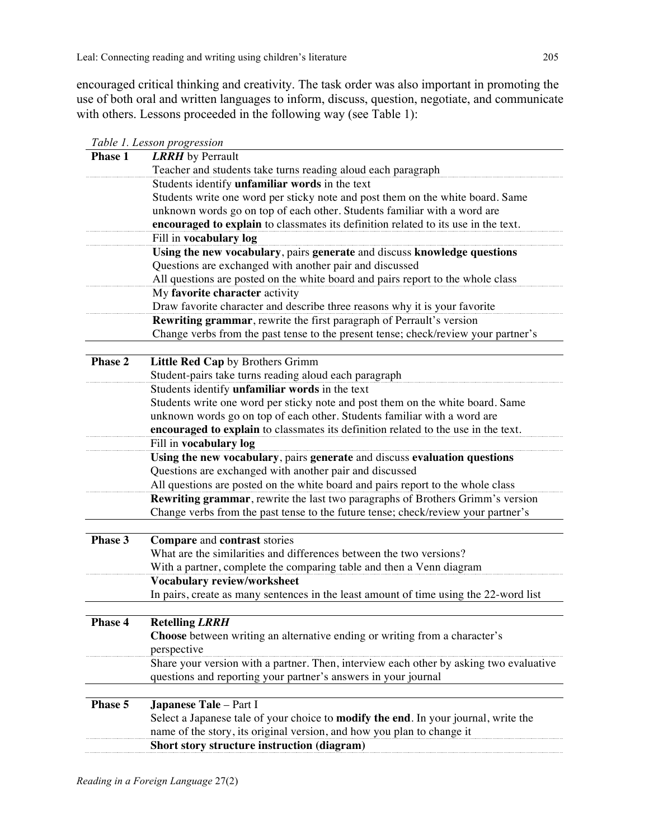encouraged critical thinking and creativity. The task order was also important in promoting the use of both oral and written languages to inform, discuss, question, negotiate, and communicate with others. Lessons proceeded in the following way (see Table 1):

|                      | <i>Lable 1. Lesson progression</i>                                                               |  |  |
|----------------------|--------------------------------------------------------------------------------------------------|--|--|
| <b>Phase 1</b>       | <b>LRRH</b> by Perrault                                                                          |  |  |
|                      | Teacher and students take turns reading aloud each paragraph                                     |  |  |
|                      | Students identify unfamiliar words in the text                                                   |  |  |
|                      | Students write one word per sticky note and post them on the white board. Same                   |  |  |
|                      | unknown words go on top of each other. Students familiar with a word are                         |  |  |
|                      | encouraged to explain to classmates its definition related to its use in the text.               |  |  |
|                      | Fill in vocabulary log                                                                           |  |  |
|                      | Using the new vocabulary, pairs generate and discuss knowledge questions                         |  |  |
|                      | Questions are exchanged with another pair and discussed                                          |  |  |
|                      | All questions are posted on the white board and pairs report to the whole class                  |  |  |
|                      | My favorite character activity                                                                   |  |  |
|                      | Draw favorite character and describe three reasons why it is your favorite                       |  |  |
|                      | <b>Rewriting grammar</b> , rewrite the first paragraph of Perrault's version                     |  |  |
|                      | Change verbs from the past tense to the present tense; check/review your partner's               |  |  |
|                      |                                                                                                  |  |  |
| Phase 2              | Little Red Cap by Brothers Grimm                                                                 |  |  |
|                      | Student-pairs take turns reading aloud each paragraph                                            |  |  |
|                      | Students identify unfamiliar words in the text                                                   |  |  |
|                      | Students write one word per sticky note and post them on the white board. Same                   |  |  |
|                      | unknown words go on top of each other. Students familiar with a word are                         |  |  |
|                      | encouraged to explain to classmates its definition related to the use in the text.               |  |  |
|                      | Fill in vocabulary log                                                                           |  |  |
|                      | Using the new vocabulary, pairs generate and discuss evaluation questions                        |  |  |
|                      | Questions are exchanged with another pair and discussed                                          |  |  |
|                      |                                                                                                  |  |  |
|                      | All questions are posted on the white board and pairs report to the whole class                  |  |  |
|                      | Rewriting grammar, rewrite the last two paragraphs of Brothers Grimm's version                   |  |  |
|                      | Change verbs from the past tense to the future tense; check/review your partner's                |  |  |
|                      |                                                                                                  |  |  |
| Phase 3              | Compare and contrast stories                                                                     |  |  |
|                      | What are the similarities and differences between the two versions?                              |  |  |
|                      | With a partner, complete the comparing table and then a Venn diagram                             |  |  |
|                      | Vocabulary review/worksheet                                                                      |  |  |
|                      | In pairs, create as many sentences in the least amount of time using the 22-word list            |  |  |
|                      |                                                                                                  |  |  |
| Phase $\overline{4}$ | <b>Retelling LRRH</b>                                                                            |  |  |
|                      | <b>Choose</b> between writing an alternative ending or writing from a character's<br>perspective |  |  |
|                      | Share your version with a partner. Then, interview each other by asking two evaluative           |  |  |
|                      | questions and reporting your partner's answers in your journal                                   |  |  |
|                      |                                                                                                  |  |  |
| Phase 5              |                                                                                                  |  |  |
|                      | <b>Japanese Tale</b> - Part I                                                                    |  |  |
|                      | Select a Japanese tale of your choice to modify the end. In your journal, write the              |  |  |
|                      | name of the story, its original version, and how you plan to change it                           |  |  |
|                      | Short story structure instruction (diagram)                                                      |  |  |

*Table 1. Lesson progression*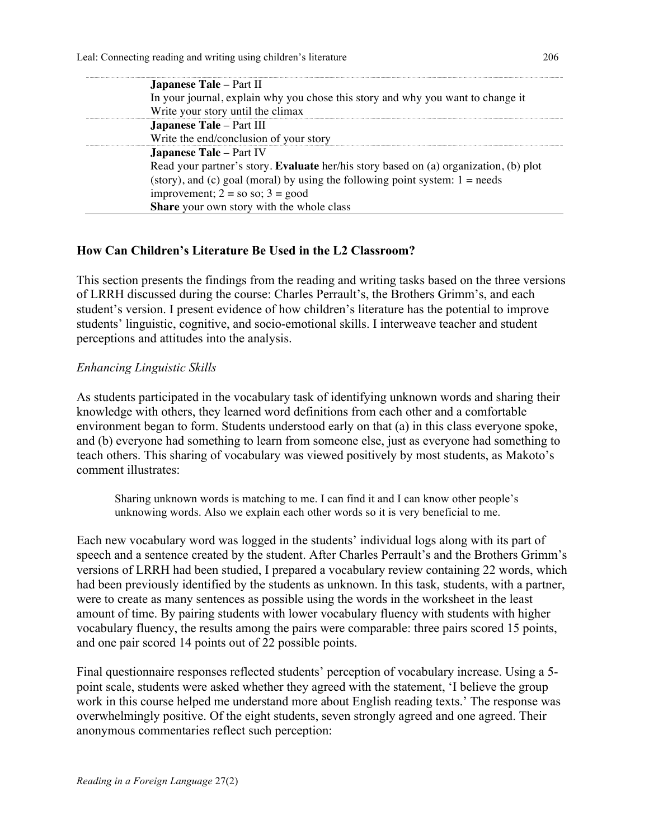| <b>Japanese Tale</b> – Part II                                                        |
|---------------------------------------------------------------------------------------|
| In your journal, explain why you chose this story and why you want to change it       |
| Write your story until the climax                                                     |
| Japanese Tale - Part III                                                              |
| Write the end/conclusion of your story                                                |
| <b>Japanese Tale - Part IV</b>                                                        |
| Read your partner's story. Evaluate her/his story based on (a) organization, (b) plot |
| (story), and (c) goal (moral) by using the following point system: $1 = needs$        |
| improvement; $2 = so so$ ; $3 = good$                                                 |
| Share your own story with the whole class                                             |
|                                                                                       |

# **How Can Children's Literature Be Used in the L2 Classroom?**

This section presents the findings from the reading and writing tasks based on the three versions of LRRH discussed during the course: Charles Perrault's, the Brothers Grimm's, and each student's version. I present evidence of how children's literature has the potential to improve students' linguistic, cognitive, and socio-emotional skills. I interweave teacher and student perceptions and attitudes into the analysis.

# *Enhancing Linguistic Skills*

As students participated in the vocabulary task of identifying unknown words and sharing their knowledge with others, they learned word definitions from each other and a comfortable environment began to form. Students understood early on that (a) in this class everyone spoke, and (b) everyone had something to learn from someone else, just as everyone had something to teach others. This sharing of vocabulary was viewed positively by most students, as Makoto's comment illustrates:

Sharing unknown words is matching to me. I can find it and I can know other people's unknowing words. Also we explain each other words so it is very beneficial to me.

Each new vocabulary word was logged in the students' individual logs along with its part of speech and a sentence created by the student. After Charles Perrault's and the Brothers Grimm's versions of LRRH had been studied, I prepared a vocabulary review containing 22 words, which had been previously identified by the students as unknown. In this task, students, with a partner, were to create as many sentences as possible using the words in the worksheet in the least amount of time. By pairing students with lower vocabulary fluency with students with higher vocabulary fluency, the results among the pairs were comparable: three pairs scored 15 points, and one pair scored 14 points out of 22 possible points.

Final questionnaire responses reflected students' perception of vocabulary increase. Using a 5 point scale, students were asked whether they agreed with the statement, 'I believe the group work in this course helped me understand more about English reading texts.' The response was overwhelmingly positive. Of the eight students, seven strongly agreed and one agreed. Their anonymous commentaries reflect such perception: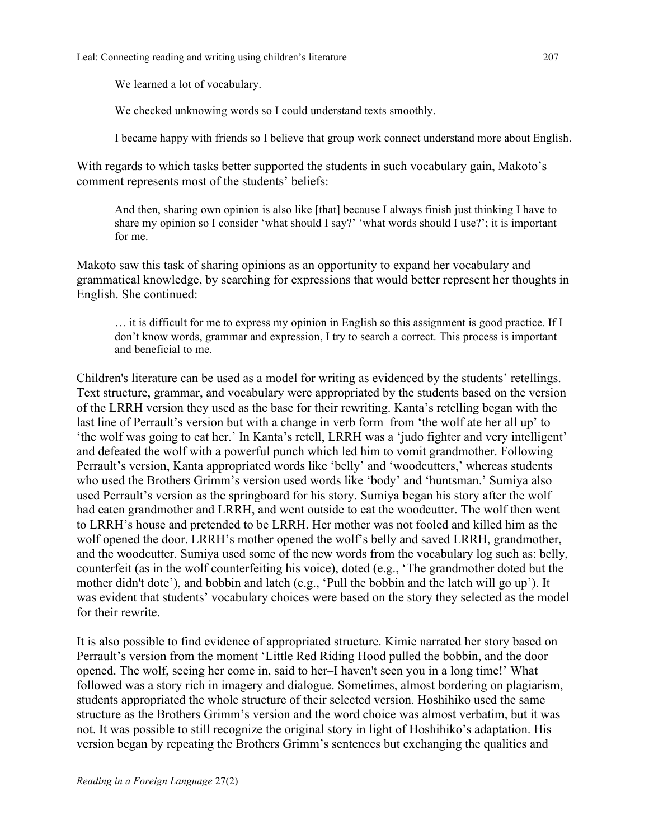We learned a lot of vocabulary.

We checked unknowing words so I could understand texts smoothly.

I became happy with friends so I believe that group work connect understand more about English.

With regards to which tasks better supported the students in such vocabulary gain, Makoto's comment represents most of the students' beliefs:

And then, sharing own opinion is also like [that] because I always finish just thinking I have to share my opinion so I consider 'what should I say?' 'what words should I use?'; it is important for me.

Makoto saw this task of sharing opinions as an opportunity to expand her vocabulary and grammatical knowledge, by searching for expressions that would better represent her thoughts in English. She continued:

… it is difficult for me to express my opinion in English so this assignment is good practice. If I don't know words, grammar and expression, I try to search a correct. This process is important and beneficial to me.

Children's literature can be used as a model for writing as evidenced by the students' retellings. Text structure, grammar, and vocabulary were appropriated by the students based on the version of the LRRH version they used as the base for their rewriting. Kanta's retelling began with the last line of Perrault's version but with a change in verb form–from 'the wolf ate her all up' to 'the wolf was going to eat her.' In Kanta's retell, LRRH was a 'judo fighter and very intelligent' and defeated the wolf with a powerful punch which led him to vomit grandmother. Following Perrault's version, Kanta appropriated words like 'belly' and 'woodcutters,' whereas students who used the Brothers Grimm's version used words like 'body' and 'huntsman.' Sumiya also used Perrault's version as the springboard for his story. Sumiya began his story after the wolf had eaten grandmother and LRRH, and went outside to eat the woodcutter. The wolf then went to LRRH's house and pretended to be LRRH. Her mother was not fooled and killed him as the wolf opened the door. LRRH's mother opened the wolf's belly and saved LRRH, grandmother, and the woodcutter. Sumiya used some of the new words from the vocabulary log such as: belly, counterfeit (as in the wolf counterfeiting his voice), doted (e.g., 'The grandmother doted but the mother didn't dote'), and bobbin and latch (e.g., 'Pull the bobbin and the latch will go up'). It was evident that students' vocabulary choices were based on the story they selected as the model for their rewrite.

It is also possible to find evidence of appropriated structure. Kimie narrated her story based on Perrault's version from the moment 'Little Red Riding Hood pulled the bobbin, and the door opened. The wolf, seeing her come in, said to her–I haven't seen you in a long time!' What followed was a story rich in imagery and dialogue. Sometimes, almost bordering on plagiarism, students appropriated the whole structure of their selected version. Hoshihiko used the same structure as the Brothers Grimm's version and the word choice was almost verbatim, but it was not. It was possible to still recognize the original story in light of Hoshihiko's adaptation. His version began by repeating the Brothers Grimm's sentences but exchanging the qualities and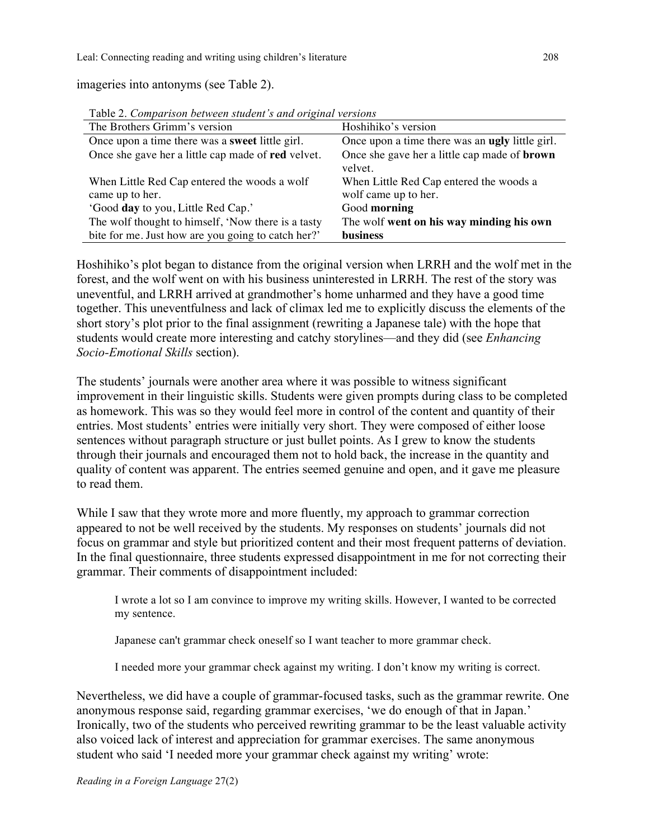imageries into antonyms (see Table 2).

| $\sim$ wore $\sim$ . Configuration to the contract of the contract of the contract of the contract of the contract of the contract of the contract of the contract of the contract of the contract of the contract of the contract |                                                                |  |  |
|------------------------------------------------------------------------------------------------------------------------------------------------------------------------------------------------------------------------------------|----------------------------------------------------------------|--|--|
| The Brothers Grimm's version                                                                                                                                                                                                       | Hoshihiko's version                                            |  |  |
| Once upon a time there was a <b>sweet</b> little girl.                                                                                                                                                                             | Once upon a time there was an <b>ugly</b> little girl.         |  |  |
| Once she gave her a little cap made of red velvet.                                                                                                                                                                                 | Once she gave her a little cap made of <b>brown</b><br>velvet. |  |  |
| When Little Red Cap entered the woods a wolf                                                                                                                                                                                       | When Little Red Cap entered the woods a                        |  |  |
| came up to her.                                                                                                                                                                                                                    | wolf came up to her.                                           |  |  |
| 'Good day to you, Little Red Cap.'                                                                                                                                                                                                 | Good morning                                                   |  |  |
| The wolf thought to himself, 'Now there is a tasty                                                                                                                                                                                 | The wolf went on his way minding his own                       |  |  |
| bite for me. Just how are you going to catch her?'                                                                                                                                                                                 | business                                                       |  |  |

Table 2. *Comparison between student's and original versions*

Hoshihiko's plot began to distance from the original version when LRRH and the wolf met in the forest, and the wolf went on with his business uninterested in LRRH. The rest of the story was uneventful, and LRRH arrived at grandmother's home unharmed and they have a good time together. This uneventfulness and lack of climax led me to explicitly discuss the elements of the short story's plot prior to the final assignment (rewriting a Japanese tale) with the hope that students would create more interesting and catchy storylines—and they did (see *Enhancing Socio-Emotional Skills* section).

The students' journals were another area where it was possible to witness significant improvement in their linguistic skills. Students were given prompts during class to be completed as homework. This was so they would feel more in control of the content and quantity of their entries. Most students' entries were initially very short. They were composed of either loose sentences without paragraph structure or just bullet points. As I grew to know the students through their journals and encouraged them not to hold back, the increase in the quantity and quality of content was apparent. The entries seemed genuine and open, and it gave me pleasure to read them.

While I saw that they wrote more and more fluently, my approach to grammar correction appeared to not be well received by the students. My responses on students' journals did not focus on grammar and style but prioritized content and their most frequent patterns of deviation. In the final questionnaire, three students expressed disappointment in me for not correcting their grammar. Their comments of disappointment included:

I wrote a lot so I am convince to improve my writing skills. However, I wanted to be corrected my sentence.

Japanese can't grammar check oneself so I want teacher to more grammar check.

I needed more your grammar check against my writing. I don't know my writing is correct.

Nevertheless, we did have a couple of grammar-focused tasks, such as the grammar rewrite. One anonymous response said, regarding grammar exercises, 'we do enough of that in Japan.' Ironically, two of the students who perceived rewriting grammar to be the least valuable activity also voiced lack of interest and appreciation for grammar exercises. The same anonymous student who said 'I needed more your grammar check against my writing' wrote: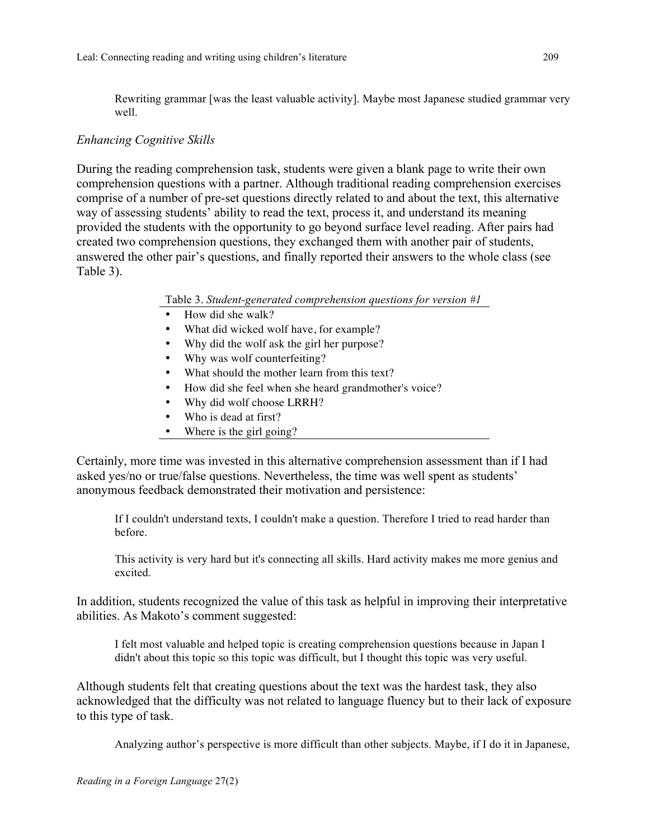Rewriting grammar [was the least valuable activity]. Maybe most Japanese studied grammar very well.

# *Enhancing Cognitive Skills*

During the reading comprehension task, students were given a blank page to write their own comprehension questions with a partner. Although traditional reading comprehension exercises comprise of a number of pre-set questions directly related to and about the text, this alternative way of assessing students' ability to read the text, process it, and understand its meaning provided the students with the opportunity to go beyond surface level reading. After pairs had created two comprehension questions, they exchanged them with another pair of students, answered the other pair's questions, and finally reported their answers to the whole class (see Table 3).

#### Table 3. *Student-generated comprehension questions for version #1*

- How did she walk?
- What did wicked wolf have, for example?
- Why did the wolf ask the girl her purpose?
- Why was wolf counterfeiting?
- What should the mother learn from this text?
- How did she feel when she heard grandmother's voice?
- Why did wolf choose LRRH?
- Who is dead at first?
- Where is the girl going?

Certainly, more time was invested in this alternative comprehension assessment than if I had asked yes/no or true/false questions. Nevertheless, the time was well spent as students' anonymous feedback demonstrated their motivation and persistence:

If I couldn't understand texts, I couldn't make a question. Therefore I tried to read harder than before.

This activity is very hard but it's connecting all skills. Hard activity makes me more genius and excited.

In addition, students recognized the value of this task as helpful in improving their interpretative abilities. As Makoto's comment suggested:

I felt most valuable and helped topic is creating comprehension questions because in Japan I didn't about this topic so this topic was difficult, but I thought this topic was very useful.

Although students felt that creating questions about the text was the hardest task, they also acknowledged that the difficulty was not related to language fluency but to their lack of exposure to this type of task.

Analyzing author's perspective is more difficult than other subjects. Maybe, if I do it in Japanese,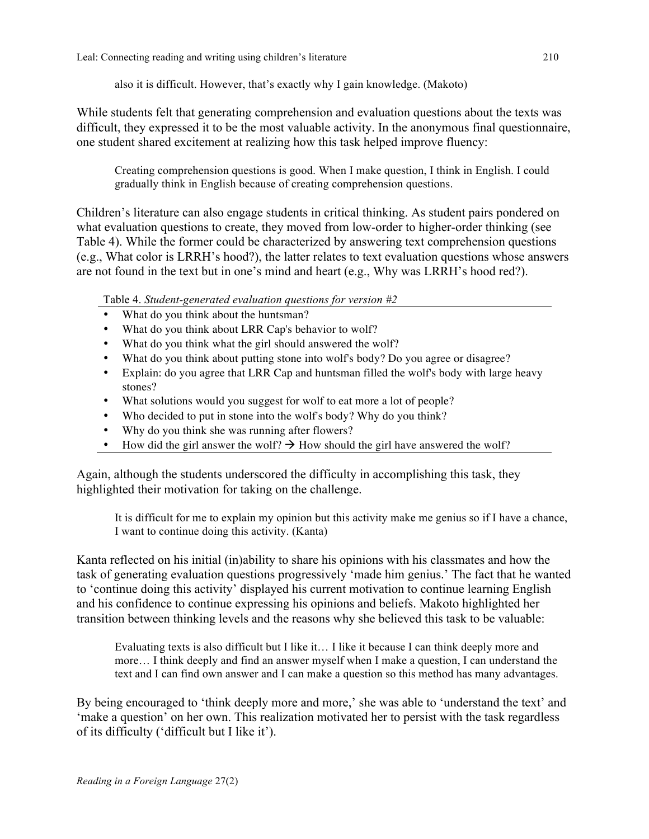also it is difficult. However, that's exactly why I gain knowledge. (Makoto)

While students felt that generating comprehension and evaluation questions about the texts was difficult, they expressed it to be the most valuable activity. In the anonymous final questionnaire, one student shared excitement at realizing how this task helped improve fluency:

Creating comprehension questions is good. When I make question, I think in English. I could gradually think in English because of creating comprehension questions.

Children's literature can also engage students in critical thinking. As student pairs pondered on what evaluation questions to create, they moved from low-order to higher-order thinking (see Table 4). While the former could be characterized by answering text comprehension questions (e.g., What color is LRRH's hood?), the latter relates to text evaluation questions whose answers are not found in the text but in one's mind and heart (e.g., Why was LRRH's hood red?).

Table 4. *Student-generated evaluation questions for version #2*

- What do you think about the huntsman?
- What do you think about LRR Cap's behavior to wolf?
- What do you think what the girl should answered the wolf?
- What do you think about putting stone into wolf's body? Do you agree or disagree?
- Explain: do you agree that LRR Cap and huntsman filled the wolf's body with large heavy stones?
- What solutions would you suggest for wolf to eat more a lot of people?
- Who decided to put in stone into the wolf's body? Why do you think?
- Why do you think she was running after flowers?
- How did the girl answer the wolf?  $\rightarrow$  How should the girl have answered the wolf?

Again, although the students underscored the difficulty in accomplishing this task, they highlighted their motivation for taking on the challenge.

It is difficult for me to explain my opinion but this activity make me genius so if I have a chance, I want to continue doing this activity. (Kanta)

Kanta reflected on his initial (in)ability to share his opinions with his classmates and how the task of generating evaluation questions progressively 'made him genius.' The fact that he wanted to 'continue doing this activity' displayed his current motivation to continue learning English and his confidence to continue expressing his opinions and beliefs. Makoto highlighted her transition between thinking levels and the reasons why she believed this task to be valuable:

Evaluating texts is also difficult but I like it… I like it because I can think deeply more and more… I think deeply and find an answer myself when I make a question, I can understand the text and I can find own answer and I can make a question so this method has many advantages.

By being encouraged to 'think deeply more and more,' she was able to 'understand the text' and 'make a question' on her own. This realization motivated her to persist with the task regardless of its difficulty ('difficult but I like it').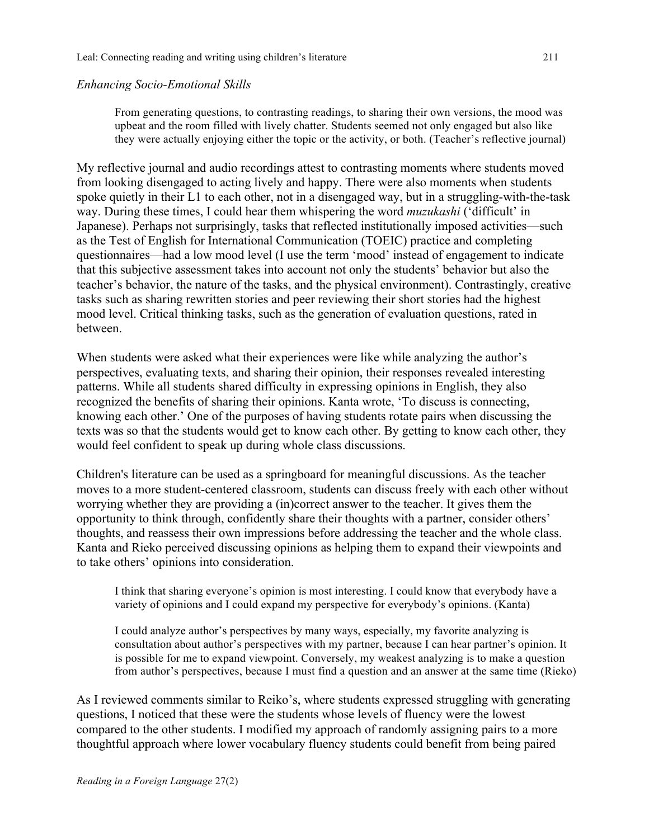#### *Enhancing Socio-Emotional Skills*

From generating questions, to contrasting readings, to sharing their own versions, the mood was upbeat and the room filled with lively chatter. Students seemed not only engaged but also like they were actually enjoying either the topic or the activity, or both. (Teacher's reflective journal)

My reflective journal and audio recordings attest to contrasting moments where students moved from looking disengaged to acting lively and happy. There were also moments when students spoke quietly in their L1 to each other, not in a disengaged way, but in a struggling-with-the-task way. During these times, I could hear them whispering the word *muzukashi* ('difficult' in Japanese). Perhaps not surprisingly, tasks that reflected institutionally imposed activities—such as the Test of English for International Communication (TOEIC) practice and completing questionnaires—had a low mood level (I use the term 'mood' instead of engagement to indicate that this subjective assessment takes into account not only the students' behavior but also the teacher's behavior, the nature of the tasks, and the physical environment). Contrastingly, creative tasks such as sharing rewritten stories and peer reviewing their short stories had the highest mood level. Critical thinking tasks, such as the generation of evaluation questions, rated in between.

When students were asked what their experiences were like while analyzing the author's perspectives, evaluating texts, and sharing their opinion, their responses revealed interesting patterns. While all students shared difficulty in expressing opinions in English, they also recognized the benefits of sharing their opinions. Kanta wrote, 'To discuss is connecting, knowing each other.' One of the purposes of having students rotate pairs when discussing the texts was so that the students would get to know each other. By getting to know each other, they would feel confident to speak up during whole class discussions.

Children's literature can be used as a springboard for meaningful discussions. As the teacher moves to a more student-centered classroom, students can discuss freely with each other without worrying whether they are providing a (in)correct answer to the teacher. It gives them the opportunity to think through, confidently share their thoughts with a partner, consider others' thoughts, and reassess their own impressions before addressing the teacher and the whole class. Kanta and Rieko perceived discussing opinions as helping them to expand their viewpoints and to take others' opinions into consideration.

I think that sharing everyone's opinion is most interesting. I could know that everybody have a variety of opinions and I could expand my perspective for everybody's opinions. (Kanta)

I could analyze author's perspectives by many ways, especially, my favorite analyzing is consultation about author's perspectives with my partner, because I can hear partner's opinion. It is possible for me to expand viewpoint. Conversely, my weakest analyzing is to make a question from author's perspectives, because I must find a question and an answer at the same time (Rieko)

As I reviewed comments similar to Reiko's, where students expressed struggling with generating questions, I noticed that these were the students whose levels of fluency were the lowest compared to the other students. I modified my approach of randomly assigning pairs to a more thoughtful approach where lower vocabulary fluency students could benefit from being paired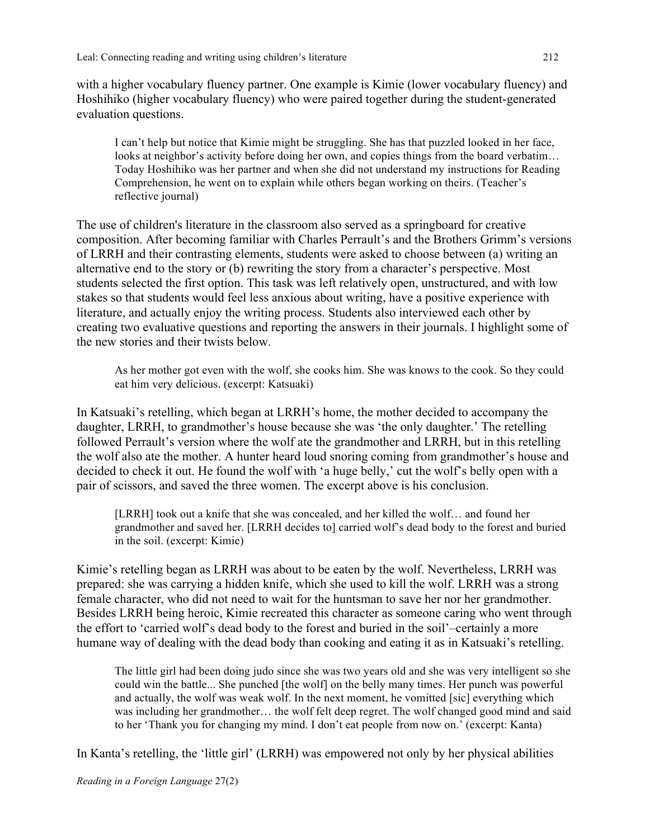with a higher vocabulary fluency partner. One example is Kimie (lower vocabulary fluency) and Hoshihiko (higher vocabulary fluency) who were paired together during the student-generated evaluation questions.

I can't help but notice that Kimie might be struggling. She has that puzzled looked in her face, looks at neighbor's activity before doing her own, and copies things from the board verbatim… Today Hoshihiko was her partner and when she did not understand my instructions for Reading Comprehension, he went on to explain while others began working on theirs. (Teacher's reflective journal)

The use of children's literature in the classroom also served as a springboard for creative composition. After becoming familiar with Charles Perrault's and the Brothers Grimm's versions of LRRH and their contrasting elements, students were asked to choose between (a) writing an alternative end to the story or (b) rewriting the story from a character's perspective. Most students selected the first option. This task was left relatively open, unstructured, and with low stakes so that students would feel less anxious about writing, have a positive experience with literature, and actually enjoy the writing process. Students also interviewed each other by creating two evaluative questions and reporting the answers in their journals. I highlight some of the new stories and their twists below.

As her mother got even with the wolf, she cooks him. She was knows to the cook. So they could eat him very delicious. (excerpt: Katsuaki)

In Katsuaki's retelling, which began at LRRH's home, the mother decided to accompany the daughter, LRRH, to grandmother's house because she was 'the only daughter.' The retelling followed Perrault's version where the wolf ate the grandmother and LRRH, but in this retelling the wolf also ate the mother. A hunter heard loud snoring coming from grandmother's house and decided to check it out. He found the wolf with 'a huge belly,' cut the wolf's belly open with a pair of scissors, and saved the three women. The excerpt above is his conclusion.

[LRRH] took out a knife that she was concealed, and her killed the wolf… and found her grandmother and saved her. [LRRH decides to] carried wolf's dead body to the forest and buried in the soil. (excerpt: Kimie)

Kimie's retelling began as LRRH was about to be eaten by the wolf. Nevertheless, LRRH was prepared: she was carrying a hidden knife, which she used to kill the wolf. LRRH was a strong female character, who did not need to wait for the huntsman to save her nor her grandmother. Besides LRRH being heroic, Kimie recreated this character as someone caring who went through the effort to 'carried wolf's dead body to the forest and buried in the soil'–certainly a more humane way of dealing with the dead body than cooking and eating it as in Katsuaki's retelling.

The little girl had been doing judo since she was two years old and she was very intelligent so she could win the battle... She punched [the wolf] on the belly many times. Her punch was powerful and actually, the wolf was weak wolf. In the next moment, he vomitted [sic] everything which was including her grandmother… the wolf felt deep regret. The wolf changed good mind and said to her 'Thank you for changing my mind. I don't eat people from now on.' (excerpt: Kanta)

In Kanta's retelling, the 'little girl' (LRRH) was empowered not only by her physical abilities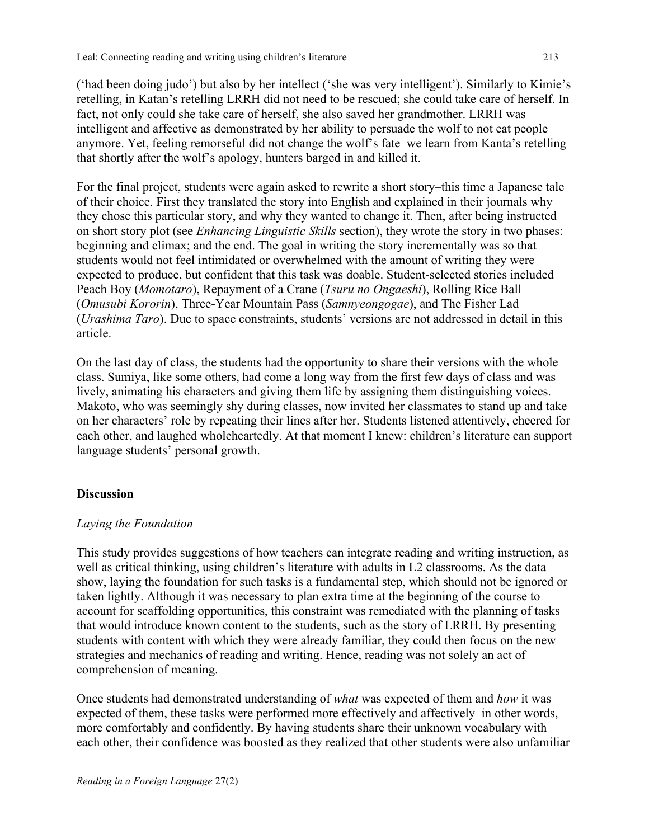('had been doing judo') but also by her intellect ('she was very intelligent'). Similarly to Kimie's retelling, in Katan's retelling LRRH did not need to be rescued; she could take care of herself. In fact, not only could she take care of herself, she also saved her grandmother. LRRH was intelligent and affective as demonstrated by her ability to persuade the wolf to not eat people anymore. Yet, feeling remorseful did not change the wolf's fate–we learn from Kanta's retelling that shortly after the wolf's apology, hunters barged in and killed it.

For the final project, students were again asked to rewrite a short story–this time a Japanese tale of their choice. First they translated the story into English and explained in their journals why they chose this particular story, and why they wanted to change it. Then, after being instructed on short story plot (see *Enhancing Linguistic Skills* section), they wrote the story in two phases: beginning and climax; and the end. The goal in writing the story incrementally was so that students would not feel intimidated or overwhelmed with the amount of writing they were expected to produce, but confident that this task was doable. Student-selected stories included Peach Boy (*Momotaro*), Repayment of a Crane (*Tsuru no Ongaeshi*), Rolling Rice Ball (*Omusubi Kororin*), Three-Year Mountain Pass (*Samnyeongogae*), and The Fisher Lad (*Urashima Taro*). Due to space constraints, students' versions are not addressed in detail in this article.

On the last day of class, the students had the opportunity to share their versions with the whole class. Sumiya, like some others, had come a long way from the first few days of class and was lively, animating his characters and giving them life by assigning them distinguishing voices. Makoto, who was seemingly shy during classes, now invited her classmates to stand up and take on her characters' role by repeating their lines after her. Students listened attentively, cheered for each other, and laughed wholeheartedly. At that moment I knew: children's literature can support language students' personal growth.

# **Discussion**

# *Laying the Foundation*

This study provides suggestions of how teachers can integrate reading and writing instruction, as well as critical thinking, using children's literature with adults in L2 classrooms. As the data show, laying the foundation for such tasks is a fundamental step, which should not be ignored or taken lightly. Although it was necessary to plan extra time at the beginning of the course to account for scaffolding opportunities, this constraint was remediated with the planning of tasks that would introduce known content to the students, such as the story of LRRH. By presenting students with content with which they were already familiar, they could then focus on the new strategies and mechanics of reading and writing. Hence, reading was not solely an act of comprehension of meaning.

Once students had demonstrated understanding of *what* was expected of them and *how* it was expected of them, these tasks were performed more effectively and affectively–in other words, more comfortably and confidently. By having students share their unknown vocabulary with each other, their confidence was boosted as they realized that other students were also unfamiliar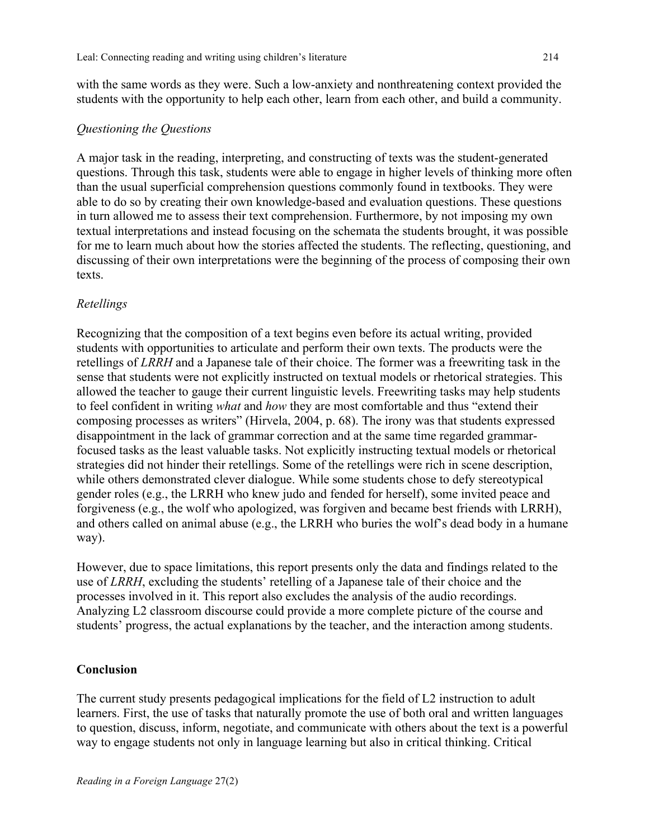with the same words as they were. Such a low-anxiety and nonthreatening context provided the students with the opportunity to help each other, learn from each other, and build a community.

# *Questioning the Questions*

A major task in the reading, interpreting, and constructing of texts was the student-generated questions. Through this task, students were able to engage in higher levels of thinking more often than the usual superficial comprehension questions commonly found in textbooks. They were able to do so by creating their own knowledge-based and evaluation questions. These questions in turn allowed me to assess their text comprehension. Furthermore, by not imposing my own textual interpretations and instead focusing on the schemata the students brought, it was possible for me to learn much about how the stories affected the students. The reflecting, questioning, and discussing of their own interpretations were the beginning of the process of composing their own texts.

# *Retellings*

Recognizing that the composition of a text begins even before its actual writing, provided students with opportunities to articulate and perform their own texts. The products were the retellings of *LRRH* and a Japanese tale of their choice. The former was a freewriting task in the sense that students were not explicitly instructed on textual models or rhetorical strategies. This allowed the teacher to gauge their current linguistic levels. Freewriting tasks may help students to feel confident in writing *what* and *how* they are most comfortable and thus "extend their composing processes as writers" (Hirvela, 2004, p. 68). The irony was that students expressed disappointment in the lack of grammar correction and at the same time regarded grammarfocused tasks as the least valuable tasks. Not explicitly instructing textual models or rhetorical strategies did not hinder their retellings. Some of the retellings were rich in scene description, while others demonstrated clever dialogue. While some students chose to defy stereotypical gender roles (e.g., the LRRH who knew judo and fended for herself), some invited peace and forgiveness (e.g., the wolf who apologized, was forgiven and became best friends with LRRH), and others called on animal abuse (e.g., the LRRH who buries the wolf's dead body in a humane way).

However, due to space limitations, this report presents only the data and findings related to the use of *LRRH*, excluding the students' retelling of a Japanese tale of their choice and the processes involved in it. This report also excludes the analysis of the audio recordings. Analyzing L2 classroom discourse could provide a more complete picture of the course and students' progress, the actual explanations by the teacher, and the interaction among students.

# **Conclusion**

The current study presents pedagogical implications for the field of L2 instruction to adult learners. First, the use of tasks that naturally promote the use of both oral and written languages to question, discuss, inform, negotiate, and communicate with others about the text is a powerful way to engage students not only in language learning but also in critical thinking. Critical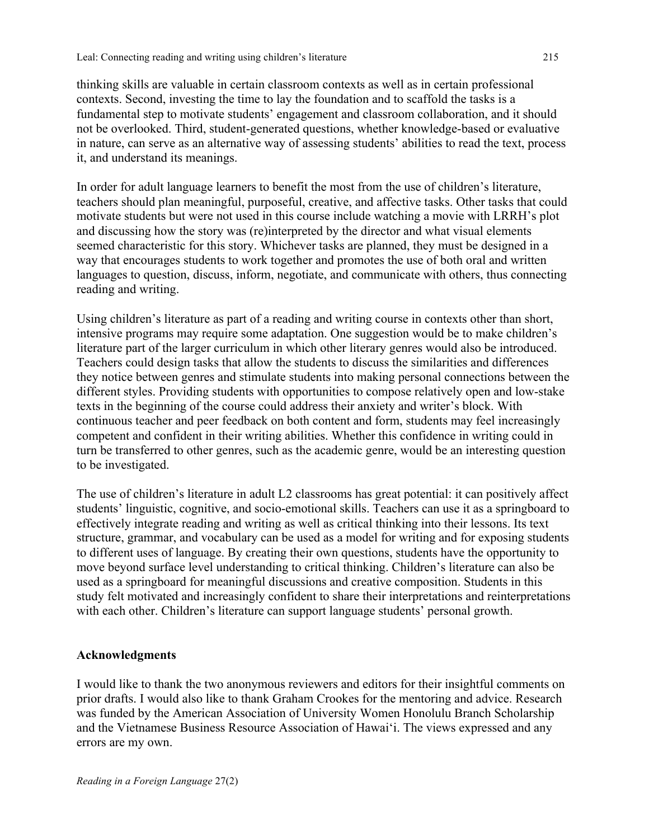thinking skills are valuable in certain classroom contexts as well as in certain professional contexts. Second, investing the time to lay the foundation and to scaffold the tasks is a fundamental step to motivate students' engagement and classroom collaboration, and it should not be overlooked. Third, student-generated questions, whether knowledge-based or evaluative in nature, can serve as an alternative way of assessing students' abilities to read the text, process it, and understand its meanings.

In order for adult language learners to benefit the most from the use of children's literature, teachers should plan meaningful, purposeful, creative, and affective tasks. Other tasks that could motivate students but were not used in this course include watching a movie with LRRH's plot and discussing how the story was (re)interpreted by the director and what visual elements seemed characteristic for this story. Whichever tasks are planned, they must be designed in a way that encourages students to work together and promotes the use of both oral and written languages to question, discuss, inform, negotiate, and communicate with others, thus connecting reading and writing.

Using children's literature as part of a reading and writing course in contexts other than short, intensive programs may require some adaptation. One suggestion would be to make children's literature part of the larger curriculum in which other literary genres would also be introduced. Teachers could design tasks that allow the students to discuss the similarities and differences they notice between genres and stimulate students into making personal connections between the different styles. Providing students with opportunities to compose relatively open and low-stake texts in the beginning of the course could address their anxiety and writer's block. With continuous teacher and peer feedback on both content and form, students may feel increasingly competent and confident in their writing abilities. Whether this confidence in writing could in turn be transferred to other genres, such as the academic genre, would be an interesting question to be investigated.

The use of children's literature in adult L2 classrooms has great potential: it can positively affect students' linguistic, cognitive, and socio-emotional skills. Teachers can use it as a springboard to effectively integrate reading and writing as well as critical thinking into their lessons. Its text structure, grammar, and vocabulary can be used as a model for writing and for exposing students to different uses of language. By creating their own questions, students have the opportunity to move beyond surface level understanding to critical thinking. Children's literature can also be used as a springboard for meaningful discussions and creative composition. Students in this study felt motivated and increasingly confident to share their interpretations and reinterpretations with each other. Children's literature can support language students' personal growth.

# **Acknowledgments**

I would like to thank the two anonymous reviewers and editors for their insightful comments on prior drafts. I would also like to thank Graham Crookes for the mentoring and advice. Research was funded by the American Association of University Women Honolulu Branch Scholarship and the Vietnamese Business Resource Association of Hawai'i. The views expressed and any errors are my own.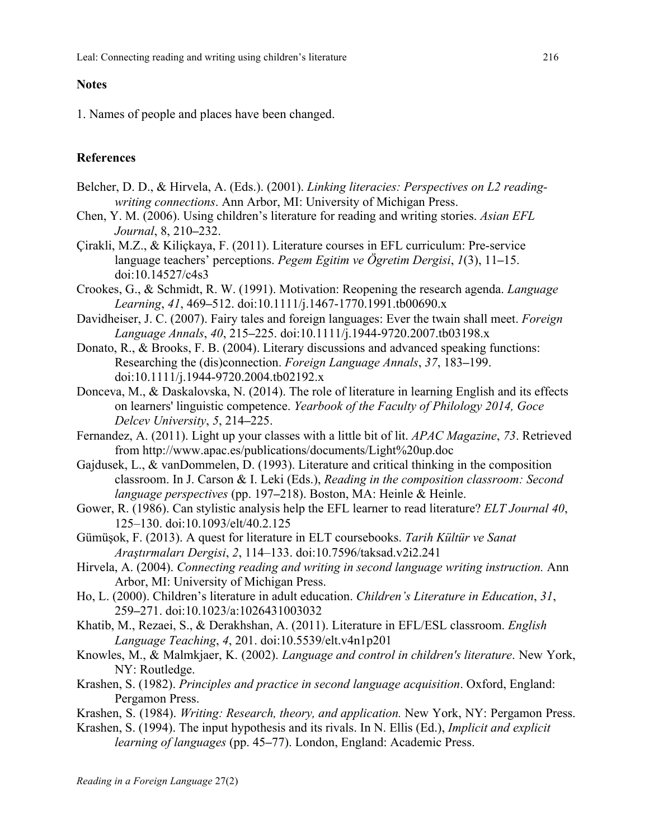# **Notes**

1. Names of people and places have been changed.

# **References**

- Belcher, D. D., & Hirvela, A. (Eds.). (2001). *Linking literacies: Perspectives on L2 readingwriting connections*. Ann Arbor, MI: University of Michigan Press.
- Chen, Y. M. (2006). Using children's literature for reading and writing stories. *Asian EFL Journal*, 8, 210**–**232.
- Çirakli, M.Z., & Kiliçkaya, F. (2011). Literature courses in EFL curriculum: Pre-service language teachers' perceptions. *Pegem Egitim ve Ögretim Dergisi*, *1*(3), 11**–**15. doi:10.14527/c4s3
- Crookes, G., & Schmidt, R. W. (1991). Motivation: Reopening the research agenda. *Language Learning*, *41*, 469**–**512. doi:10.1111/j.1467-1770.1991.tb00690.x
- Davidheiser, J. C. (2007). Fairy tales and foreign languages: Ever the twain shall meet. *Foreign Language Annals*, *40*, 215**–**225. doi:10.1111/j.1944-9720.2007.tb03198.x
- Donato, R., & Brooks, F. B. (2004). Literary discussions and advanced speaking functions: Researching the (dis)connection. *Foreign Language Annals*, *37*, 183**–**199. doi:10.1111/j.1944-9720.2004.tb02192.x
- Donceva, M., & Daskalovska, N. (2014). The role of literature in learning English and its effects on learners' linguistic competence. *Yearbook of the Faculty of Philology 2014, Goce Delcev University*, *5*, 214**–**225.
- Fernandez, A. (2011). Light up your classes with a little bit of lit. *APAC Magazine*, *73*. Retrieved from http://www.apac.es/publications/documents/Light%20up.doc
- Gajdusek, L., & vanDommelen, D. (1993). Literature and critical thinking in the composition classroom. In J. Carson & I. Leki (Eds.), *Reading in the composition classroom: Second language perspectives* (pp. 197**–**218). Boston, MA: Heinle & Heinle.
- Gower, R. (1986). Can stylistic analysis help the EFL learner to read literature? *ELT Journal 40*, 125–130. doi:10.1093/elt/40.2.125
- Gümüşok, F. (2013). A quest for literature in ELT coursebooks. *Tarih Kültür ve Sanat Araştırmaları Dergisi*, *2*, 114–133. doi:10.7596/taksad.v2i2.241
- Hirvela, A. (2004). *Connecting reading and writing in second language writing instruction.* Ann Arbor, MI: University of Michigan Press.
- Ho, L. (2000). Children's literature in adult education. *Children's Literature in Education*, *31*, 259**–**271. doi:10.1023/a:1026431003032
- Khatib, M., Rezaei, S., & Derakhshan, A. (2011). Literature in EFL/ESL classroom. *English Language Teaching*, *4*, 201. doi:10.5539/elt.v4n1p201
- Knowles, M., & Malmkjaer, K. (2002). *Language and control in children's literature*. New York, NY: Routledge.
- Krashen, S. (1982). *Principles and practice in second language acquisition*. Oxford, England: Pergamon Press.
- Krashen, S. (1984). *Writing: Research, theory, and application.* New York, NY: Pergamon Press.
- Krashen, S. (1994). The input hypothesis and its rivals. In N. Ellis (Ed.), *Implicit and explicit learning of languages* (pp. 45**–**77). London, England: Academic Press.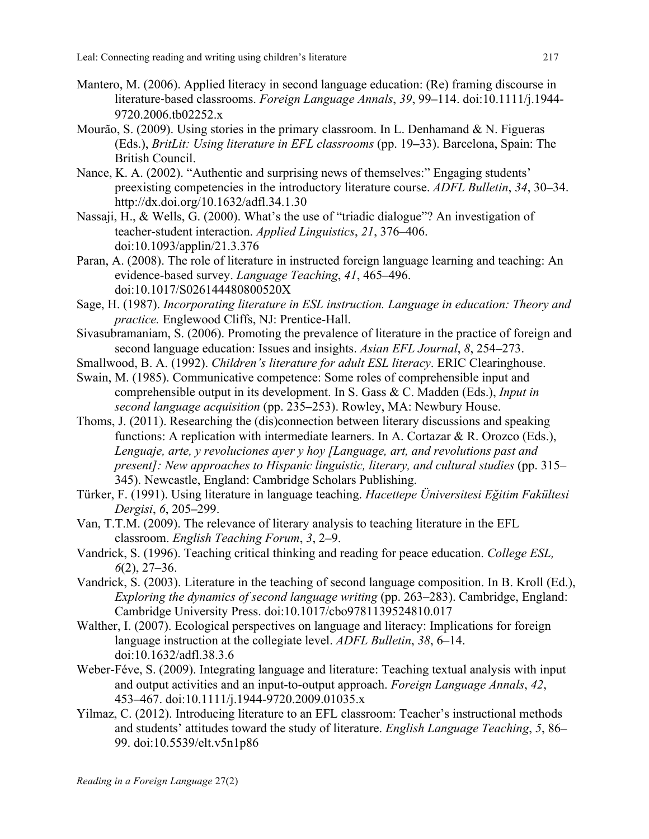- Mantero, M. (2006). Applied literacy in second language education: (Re) framing discourse in literature‐based classrooms. *Foreign Language Annals*, *39*, 99**–**114. doi:10.1111/j.1944- 9720.2006.tb02252.x
- Mourão, S. (2009). Using stories in the primary classroom. In L. Denhamand & N. Figueras (Eds.), *BritLit: Using literature in EFL classrooms* (pp. 19**–**33). Barcelona, Spain: The British Council.
- Nance, K. A. (2002). "Authentic and surprising news of themselves:" Engaging students' preexisting competencies in the introductory literature course. *ADFL Bulletin*, *34*, 30**–**34. http://dx.doi.org/10.1632/adfl.34.1.30
- Nassaji, H., & Wells, G. (2000). What's the use of "triadic dialogue"? An investigation of teacher-student interaction. *Applied Linguistics*, *21*, 376–406. doi:10.1093/applin/21.3.376
- Paran, A. (2008). The role of literature in instructed foreign language learning and teaching: An evidence-based survey. *Language Teaching*, *41*, 465**–**496. doi:10.1017/S026144480800520X
- Sage, H. (1987). *Incorporating literature in ESL instruction. Language in education: Theory and practice.* Englewood Cliffs, NJ: Prentice-Hall.
- Sivasubramaniam, S. (2006). Promoting the prevalence of literature in the practice of foreign and second language education: Issues and insights. *Asian EFL Journal*, *8*, 254**–**273.
- Smallwood, B. A. (1992). *Children's literature for adult ESL literacy*. ERIC Clearinghouse.
- Swain, M. (1985). Communicative competence: Some roles of comprehensible input and comprehensible output in its development. In S. Gass & C. Madden (Eds.), *Input in second language acquisition* (pp. 235**–**253). Rowley, MA: Newbury House.
- Thoms, J. (2011). Researching the (dis)connection between literary discussions and speaking functions: A replication with intermediate learners. In A. Cortazar & R. Orozco (Eds.), *Lenguaje, arte, y revoluciones ayer y hoy [Language, art, and revolutions past and present]: New approaches to Hispanic linguistic, literary, and cultural studies* (pp. 315– 345). Newcastle, England: Cambridge Scholars Publishing.
- Türker, F. (1991). Using literature in language teaching. *Hacettepe Üniversitesi Eğitim Fakültesi Dergisi*, *6*, 205**–**299.
- Van, T.T.M. (2009). The relevance of literary analysis to teaching literature in the EFL classroom. *English Teaching Forum*, *3*, 2**–**9.
- Vandrick, S. (1996). Teaching critical thinking and reading for peace education. *College ESL, 6*(2), 27–36.
- Vandrick, S. (2003). Literature in the teaching of second language composition. In B. Kroll (Ed.), *Exploring the dynamics of second language writing (pp. 263–283). Cambridge, England:* Cambridge University Press. doi:10.1017/cbo9781139524810.017
- Walther, I. (2007). Ecological perspectives on language and literacy: Implications for foreign language instruction at the collegiate level. *ADFL Bulletin*, *38*, 6–14. doi:10.1632/adfl.38.3.6
- Weber-Féve, S. (2009). Integrating language and literature: Teaching textual analysis with input and output activities and an input-to-output approach. *Foreign Language Annals*, *42*, 453**–**467. doi:10.1111/j.1944-9720.2009.01035.x
- Yilmaz, C. (2012). Introducing literature to an EFL classroom: Teacher's instructional methods and students' attitudes toward the study of literature. *English Language Teaching*, *5*, 86**–** 99. doi:10.5539/elt.v5n1p86